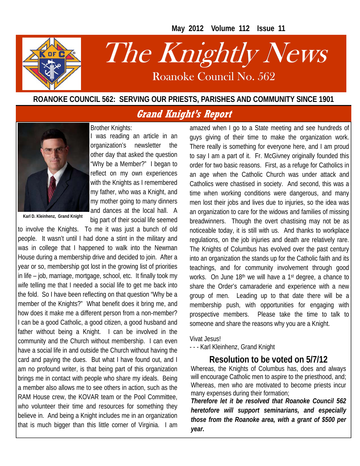**May 2012 Volume 112 Issue 11** 



# The Knightly News

Roanoke Council No. 562 Roanoke Council No. 562

#### **ROANOKE COUNCIL 562: SERVING OUR PRIESTS, PARISHES AND COMMUNITY SINCE 1901**

#### **Grand Knight's Report**



**Karl D. Kleinhenz, Grand Knight** 

Brother Knights: I was reading an article in an organization's newsletter the other day that asked the question "Why be a Member?" I began to reflect on my own experiences with the Knights as I remembered my father, who was a Knight, and my mother going to many dinners and dances at the local hall. A big part of their social life seemed

to involve the Knights. To me it was just a bunch of old people. It wasn't until I had done a stint in the military and was in college that I happened to walk into the Newman House during a membership drive and decided to join. After a year or so, membership got lost in the growing list of priorities in life – job, marriage, mortgage, school, etc. It finally took my wife telling me that I needed a social life to get me back into the fold. So I have been reflecting on that question "Why be a member of the Knights?" What benefit does it bring me, and how does it make me a different person from a non-member? I can be a good Catholic, a good citizen, a good husband and father without being a Knight. I can be involved in the community and the Church without membership. I can even have a social life in and outside the Church without having the card and paying the dues. But what I have found out, and I am no profound writer, is that being part of this organization brings me in contact with people who share my ideals. Being a member also allows me to see others in action, such as the RAM House crew, the KOVAR team or the Pool Committee, who volunteer their time and resources for something they believe in. And being a Knight includes me in an organization that is much bigger than this little corner of Virginia. I am

amazed when I go to a State meeting and see hundreds of guys giving of their time to make the organization work. There really is something for everyone here, and I am proud to say I am a part of it. Fr. McGivney originally founded this order for two basic reasons. First, as a refuge for Catholics in an age when the Catholic Church was under attack and Catholics were chastised in society. And second, this was a time when working conditions were dangerous, and many men lost their jobs and lives due to injuries, so the idea was an organization to care for the widows and families of missing breadwinners. Though the overt chastising may not be as noticeable today, it is still with us. And thanks to workplace regulations, on the job injuries and death are relatively rare. The Knights of Columbus has evolved over the past century into an organization the stands up for the Catholic faith and its teachings, and for community involvement through good works. On June 18th we will have a 1st degree, a chance to share the Order's camaraderie and experience with a new group of men. Leading up to that date there will be a membership push, with opportunities for engaging with prospective members. Please take the time to talk to someone and share the reasons why you are a Knight.

Vivat Jesus!

- - - Karl Kleinhenz, Grand Knight

#### **Resolution to be voted on 5/7/12**

Whereas, the Knights of Columbus has, does and always will encourage Catholic men to aspire to the priesthood, and; Whereas, men who are motivated to become priests incur many expenses during their formation;

*Therefore let it be resolved that Roanoke Council 562 heretofore will support seminarians, and especially those from the Roanoke area, with a grant of \$500 per year.*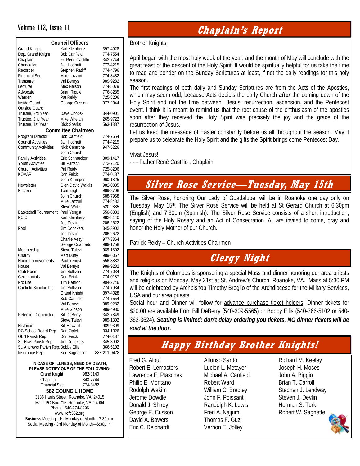| <b>Council Officers</b>             |                           |              |  |  |  |  |  |
|-------------------------------------|---------------------------|--------------|--|--|--|--|--|
| <b>Grand Knight</b>                 | Karl Kleinhenz            | 397-4028     |  |  |  |  |  |
| Dep. Grand Knight                   | <b>Bob Canfield</b>       | 774-7554     |  |  |  |  |  |
| Chaplain                            | Fr. Rene Castillo         | 343-7744     |  |  |  |  |  |
| Chancellor                          | Jan Hodnett               | 772-4215     |  |  |  |  |  |
| Recorder                            | <b>Stephen Ratliff</b>    | 774-4796     |  |  |  |  |  |
| Financial Sec.                      | Mike Lazzuri              | 774-8482     |  |  |  |  |  |
| Treasurer                           | Val Bernys                | 989-9282     |  |  |  |  |  |
| Lecturer                            | Alex Nelson               | 774-5079     |  |  |  |  |  |
| Advocate                            | <b>Brian Ripple</b>       | 776-8285     |  |  |  |  |  |
| Warden                              | Pat Reidy                 | 725-8206     |  |  |  |  |  |
| Inside Guard                        | George Cusson             | 977-2944     |  |  |  |  |  |
| <b>Outside Guard</b>                |                           |              |  |  |  |  |  |
| Trustee, 3rd Year                   | Dave Chopski              | 344-0901     |  |  |  |  |  |
| Trustee, 2nd Year                   | Mike Whelan               | 265-9722     |  |  |  |  |  |
| Trustee, 1st Year                   | <b>Dick Sparks</b>        | 563-1387     |  |  |  |  |  |
|                                     | <b>Committee Chairmen</b> |              |  |  |  |  |  |
| Program Director                    | <b>Bob Canfield</b>       | 774-7554     |  |  |  |  |  |
| <b>Council Activities</b>           | Jan Hodnett               | 774-4215     |  |  |  |  |  |
| <b>Community Activities</b>         | <b>Nick Centrone</b>      | 947-5226     |  |  |  |  |  |
|                                     | John Church               |              |  |  |  |  |  |
| <b>Family Activities</b>            | Eric Schmuckor            | 309-1417     |  |  |  |  |  |
| <b>Youth Activities</b>             | <b>Bill Partsch</b>       | 772-7120     |  |  |  |  |  |
| <b>Church Activities</b>            | Pat Reidy                 | 725-8206     |  |  |  |  |  |
| <b>KOVAR</b>                        | Don Feick                 | 774-0187     |  |  |  |  |  |
|                                     | John Krumpos              | 960-1825     |  |  |  |  |  |
| Newsletter                          | Glen David Waldis         | 982-0835     |  |  |  |  |  |
| Kitchen                             | Tom Engl                  | 989-3708     |  |  |  |  |  |
|                                     | John Church               | 588-7968     |  |  |  |  |  |
|                                     | Mike Lazzuri              | 774-8482     |  |  |  |  |  |
|                                     | <b>Steve Wirtz</b>        | 520-2885     |  |  |  |  |  |
| <b>Basketball Tournament</b>        | Paul Yengst               | 556-8883     |  |  |  |  |  |
| KCIC                                | Karl Kleinhenz            | 982-8140     |  |  |  |  |  |
|                                     | Joe Devlin                | 206-2622     |  |  |  |  |  |
| Pool                                | Jim Donckers              | 345-3902     |  |  |  |  |  |
|                                     | Joe Devlin                | 206-2622     |  |  |  |  |  |
|                                     | Charlie Aesy              | 977-3364     |  |  |  |  |  |
|                                     | George Cuadrado           | 989-1758     |  |  |  |  |  |
| Membership                          | Steve Talevi              | 989-1302     |  |  |  |  |  |
| Charity                             | Matt Duffy                | 989-6067     |  |  |  |  |  |
| Home Improvements                   | Paul Yengst               | 556-8883     |  |  |  |  |  |
| House                               | Val Bernys                | 989-9282     |  |  |  |  |  |
| Club Room                           | Jim Sullivan              | 774-7034     |  |  |  |  |  |
| Ceremonials                         | Don Feick                 | 774-0187     |  |  |  |  |  |
| Pro Life                            | Tim Heffron               | 904-2746     |  |  |  |  |  |
| Canfield Scholarship                | Jim Sullivan              | 774-7034     |  |  |  |  |  |
|                                     | <b>Grand Knight</b>       | 397-4028     |  |  |  |  |  |
|                                     | <b>Bob Canfield</b>       | 774-7554     |  |  |  |  |  |
|                                     |                           |              |  |  |  |  |  |
|                                     | Val Bernys                | 989-9282     |  |  |  |  |  |
| <b>Retention Committee</b>          | Mike Gibson               | 989-4980     |  |  |  |  |  |
|                                     | <b>Bill DeBerry</b>       | 343-7849     |  |  |  |  |  |
|                                     | Steve Talevi              | 989-1302     |  |  |  |  |  |
| Historian                           | <b>Bill Howard</b>        | 989-9399     |  |  |  |  |  |
| RC School Board Rep.                | Dan Zipfel                | 334-1326     |  |  |  |  |  |
| OLN Parish Rep.                     | Don Feick                 | 774-0187     |  |  |  |  |  |
| St. Elias Parish Rep.               | Jim Donckers              | 345-3902     |  |  |  |  |  |
| St. Andrews Parish Rep. Bobby Ellis | Ken Bagnasco              | 366-5102     |  |  |  |  |  |
| Insurance Rep.                      |                           | 888-211-9478 |  |  |  |  |  |

#### **IN CASE OF ILLNESS, NEED OR DEATH, PLEASE NOTIFY ONE OF THE FOLLOWING:**

| <b>Grand Knight</b>                             | 982-8140 |  |  |  |
|-------------------------------------------------|----------|--|--|--|
| Chaplain                                        | 343-7744 |  |  |  |
| Financial Sec.                                  | 774-8482 |  |  |  |
| <b>562 COUNCIL HOME</b>                         |          |  |  |  |
| 3136 Harris Street, Roanoke, VA 24015           |          |  |  |  |
| Mail: PO Box 715, Roanoke, VA 24004             |          |  |  |  |
| Phone: 540-774-8296                             |          |  |  |  |
| www.kofc562.org                                 |          |  |  |  |
| Business Meeting - 1st Monday of Month-7:30p.m. |          |  |  |  |
| Social Meeting - 3rd Monday of Month-6:30p.m.   |          |  |  |  |

### Volume 112, Issue 11 **Page 2 and 2 and 2 and 2 and 2 and 2 and 2 and 2 and 2 and 2 and 2 and 2 and 2 and 2 and 2 and 2 and 2 and 2 and 2 and 2 and 2 and 2 and 2 and 2 and 2 and 2 and 2 and 2 and 2 and 2 and 2 and 2 and 2 a**

Brother Knights,

April began with the most holy week of the year, and the month of May will conclude with the great feast of the descent of the Holy Spirit. It would be spiritually helpful for us take the time to read and ponder on the Sunday Scriptures at least, if not the daily readings for this holy season.

The first readings of both daily and Sunday Scriptures are from the Acts of the Apostles, which may seem odd, because Acts depicts the early Church *after* the coming down of the Holy Spirit and not the time between Jesus' resurrection, ascension, and the Pentecost event. I think it is meant to remind us that the root cause of the enthusiasm of the apostles soon after they received the Holy Spirit was precisely the joy and the grace of the resurrection of Jesus.

Let us keep the message of Easter constantly before us all throughout the season. May it prepare us to celebrate the Holy Spirit and the gifts the Spirit brings come Pentecost Day.

Vivat Jesus!

- - - Father René Castillo , Chaplain

## **Silver Rose Service—Tuesday, May 15th**

The Silver Rose, honoring Our Lady of Guadalupe, will be in Roanoke one day only on Tuesday, May 15<sup>th</sup>. The Silver Rose Service will be held at St Gerard Church at 6:30pm (English) and 7:30pm (Spanish). The Silver Rose Service consists of a short introduction, saying of the Holy Rosary and an Act of Consecration. All are invited to come, pray and honor the Holy Mother of our Church.

Patrick Reidy – Church Activities Chairmen

# **Clergy Night**

The Knights of Columbus is sponsoring a special Mass and dinner honoring our area priests and religious on Monday, May 21st at St. Andrew's Church, Roanoke, VA. Mass at 5:30 PM will be celebrated by Archbishop Timothy Broglio of the Archdiocese for the Military Services, USA and our area priests.

Social hour and Dinner will follow for advance purchase ticket holders. Dinner tickets for \$20.00 are available from Bill DeBerry (540-309-5565) or Bobby Ellis (540-366-5102 or 540- 362-3624). *Seating is limited; don't delay ordering you tickets. NO dinner tickets will be sold at the door.* 

# **Happy Birthday Brother Knights!**

Fred G. Alouf Robert E. Lemasters Lawrence E. Ptaschek Philip E. Montano Rodolph Wakim Jerome Dowdle Donald J. Shirey George E. Cusson David A. Bowers Eric C. Reichardt

Alfonso Sardo Lucien L. Metayer Michael A. Canfield Robert Ward William C. Bradley John F. Poissant Randolph K. Lewis Fred A. Najjum Thomas F. Guzi Vernon E. Jolley

Richard M. Keeley Joseph H. Moses John A. Biggio Brian T. Carroll Stephen J. Lendway Steven J. Devlin Herman S. Turk Robert W. Sagnette

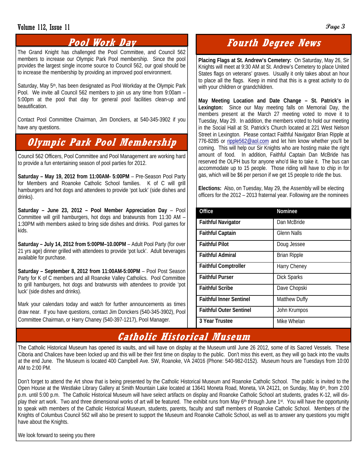#### **Volume 112, Issue 11 Page 3 Page 3**

#### **Pool Work Day**

The Grand Knight has challenged the Pool Committee, and Council 562 members to increase our Olympic Park Pool membership. Since the pool provides the largest single income source to Council 562, our goal should be to increase the membership by providing an improved pool environment.

Saturday, May 5<sup>th</sup>, has been designated as Pool Workday at the Olympic Park Pool. We invite all Council 562 members to join us any time from 9:00am – 5:00pm at the pool that day for general pool facilities clean-up and beautification.

Contact Pool Committee Chairman, Jim Donckers, at 540-345-3902 if you have any questions.

# **Olympic Park Pool Membership**

Council 562 Officers, Pool Committee and Pool Management are working hard to provide a fun entertaining season of pool parties for 2012.

**Saturday – May 19, 2012 from 11:00AM- 5:00PM** – Pre-Season Pool Party for Members and Roanoke Catholic School families. K of C will grill hamburgers and hot dogs and attendees to provide 'pot luck' (side dishes and drinks).

**Saturday – June 23, 2012 – Pool Member Appreciation Day** – Pool Committee will grill hamburgers, hot dogs and bratwursts from 11:30 AM – 1:30PM with members asked to bring side dishes and drinks. Pool games for kids.

**Saturday – July 14, 2012 from 5:00PM–10.00PM** – Adult Pool Party (for over 21 yrs age) dinner grilled with attendees to provide 'pot luck'. Adult beverages available for purchase.

**Saturday – September 8, 2012 from 11:00AM-5:00PM** – Pool Post Season Party for K of C members and all Roanoke Valley Catholics. Pool Committee to grill hamburgers, hot dogs and bratwursts with attendees to provide 'pot luck' (side dishes and drinks).

Mark your calendars today and watch for further announcements as times draw near. If you have questions, contact Jim Donckers (540-345-3902), Pool Committee Chairman, or Harry Chaney (540-397-1217), Pool Manager.

### **Fourth Degree News**

**Placing Flags at St. Andrew's Cemetery:** On Saturday, May 26, Sir Knights will meet at 9:30 AM at St. Andrew's Cemetery to place United States flags on veterans' graves. Usually it only takes about an hour to place all the flags. Keep in mind that this is a great activity to do with your children or grandchildren.

**May Meeting Location and Date Change – St. Patrick's in Lexington:** Since our May meeting falls on Memorial Day, the members present at the March 27 meeting voted to move it to Tuesday, May 29. In addition, the members voted to hold our meeting in the Social Hall at St. Patrick's Church located at 221 West Nelson Street in Lexington. Please contact Faithful Navigator Brian Ripple at 776-8285 or ripple562@aol.com and let him know whether you'll be coming. This will help our Sir Knights who are hosting make the right amount of food. In addition, Faithful Captain Dan McBride has reserved the OLPH bus for anyone who'd like to take it. The bus can accommodate up to 15 people. Those riding will have to chip in for gas, which will be \$6 per person if we get 15 people to ride the bus.

**Elections:** Also, on Tuesday, May 29, the Assembly will be electing officers for the 2012 – 2013 fraternal year. Following are the nominees

| Office                         | <b>Nominee</b>       |
|--------------------------------|----------------------|
| <b>Faithful Navigator</b>      | Dan McBride          |
| <b>Faithful Captain</b>        | Glenn Nalls          |
| <b>Faithful Pilot</b>          | Doug Jessee          |
| <b>Faithful Admiral</b>        | <b>Brian Ripple</b>  |
| <b>Faithful Comptroller</b>    | Harry Cheney         |
| <b>Faithful Purser</b>         | <b>Dick Sparks</b>   |
| <b>Faithful Scribe</b>         | Dave Chopski         |
| <b>Faithful Inner Sentinel</b> | <b>Matthew Duffy</b> |
| <b>Faithful Outer Sentinel</b> | John Krumpos         |
| 3 Year Trustee                 | Mike Whelan          |

#### **Catholic Historical Museum**

The Catholic Historical Museum has opened its vaults, and will have on display at the Museum until June 26 2012, some of its Sacred Vessels. These Ciboria and Chalices have been locked up and this will be their first time on display to the public. Don't miss this event, as they will go back into the vaults at the end June. The Museum is located 400 Campbell Ave. SW, Roanoke, VA 24016 (Phone: 540-982-0152). Museum hours are Tuesdays from 10:00 AM to 2:00 PM.

Don't forget to attend the Art show that is being presented by the Catholic Historical Museum and Roanoke Catholic School. The public is invited to the Open House at the Westlake Library Gallery at Smith Mountain Lake located at 13641 Moneta Road, Moneta, VA 24121, on Sunday, May 6<sup>th</sup>, from 2:00 p.m. until 5:00 p.m. The Catholic Historical Museum will have select artifacts on display and Roanoke Catholic School art students, grades K-12, will display their art work. Two and three dimensional works of art will be featured. The exhibit runs from May 6<sup>th</sup> through June 1<sup>st</sup>. You will have the opportunity to speak with members of the Catholic Historical Museum, students, parents, faculty and staff members of Roanoke Catholic School. Members of the Knights of Columbus Council 562 will also be present to support the Museum and Roanoke Catholic School, as well as to answer any questions you might have about the Knights.

We look forward to seeing you there